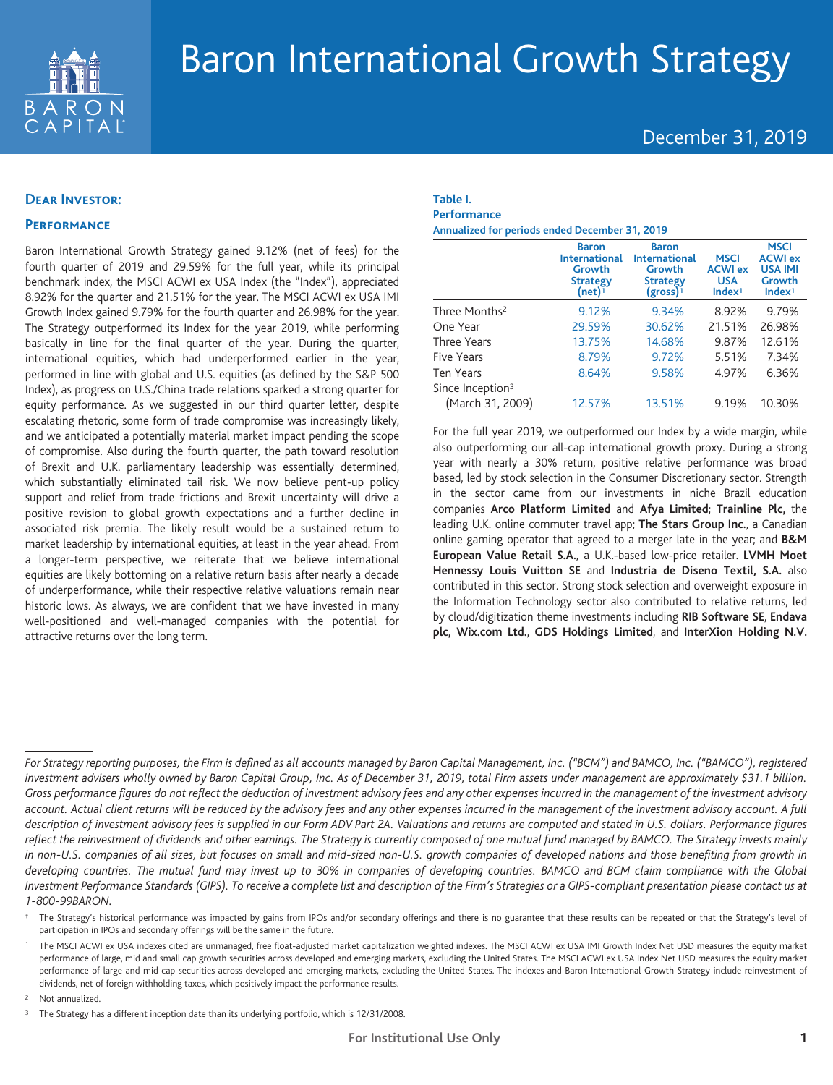

# Baron International Growth Strategy

## December 31, 2019

## **Dear Investor:**

## **Performance**

Baron International Growth Strategy gained 9.12% (net of fees) for the fourth quarter of 2019 and 29.59% for the full year, while its principal benchmark index, the MSCI ACWI ex USA Index (the "Index"), appreciated 8.92% for the quarter and 21.51% for the year. The MSCI ACWI ex USA IMI Growth Index gained 9.79% for the fourth quarter and 26.98% for the year. The Strategy outperformed its Index for the year 2019, while performing basically in line for the final quarter of the year. During the quarter, international equities, which had underperformed earlier in the year, performed in line with global and U.S. equities (as defined by the S&P 500 Index), as progress on U.S./China trade relations sparked a strong quarter for equity performance. As we suggested in our third quarter letter, despite escalating rhetoric, some form of trade compromise was increasingly likely, and we anticipated a potentially material market impact pending the scope of compromise. Also during the fourth quarter, the path toward resolution of Brexit and U.K. parliamentary leadership was essentially determined, which substantially eliminated tail risk. We now believe pent-up policy support and relief from trade frictions and Brexit uncertainty will drive a positive revision to global growth expectations and a further decline in associated risk premia. The likely result would be a sustained return to market leadership by international equities, at least in the year ahead. From a longer-term perspective, we reiterate that we believe international equities are likely bottoming on a relative return basis after nearly a decade of underperformance, while their respective relative valuations remain near historic lows. As always, we are confident that we have invested in many well-positioned and well-managed companies with the potential for attractive returns over the long term.

#### **Table I. Performance**

**Annualized for periods ended December 31, 2019**

|                              | <b>Baron</b><br><b>International</b><br>Growth<br><b>Strategy</b><br>$(net)^1$ | <b>Baron</b><br><b>International</b><br>Growth<br><b>Strategy</b><br>$(gross)^1$ | <b>MSCI</b><br><b>ACWI ex</b><br><b>USA</b><br>Index <sup>1</sup> | <b>MSCI</b><br><b>ACWI ex</b><br><b>USA IMI</b><br>Growth<br>Index <sup>1</sup> |
|------------------------------|--------------------------------------------------------------------------------|----------------------------------------------------------------------------------|-------------------------------------------------------------------|---------------------------------------------------------------------------------|
| Three Months <sup>2</sup>    | 9.12%                                                                          | 9.34%                                                                            | 8.92%                                                             | 9.79%                                                                           |
| One Year                     | 29.59%                                                                         | 30.62%                                                                           | 21.51%                                                            | 26.98%                                                                          |
| Three Years                  | 13.75%                                                                         | 14.68%                                                                           | 9.87%                                                             | 12.61%                                                                          |
| Five Years                   | 8.79%                                                                          | 9.72%                                                                            | 5.51%                                                             | 7.34%                                                                           |
| <b>Ten Years</b>             | 8.64%                                                                          | 9.58%                                                                            | 4.97%                                                             | 6.36%                                                                           |
| Since Inception <sup>3</sup> |                                                                                |                                                                                  |                                                                   |                                                                                 |
| (March 31, 2009)             | 12.57%                                                                         | 13.51%                                                                           | 9.19%                                                             | 10.30%                                                                          |

For the full year 2019, we outperformed our Index by a wide margin, while also outperforming our all-cap international growth proxy. During a strong year with nearly a 30% return, positive relative performance was broad based, led by stock selection in the Consumer Discretionary sector. Strength in the sector came from our investments in niche Brazil education companies **Arco Platform Limited** and **Afya Limited**; **Trainline Plc,** the leading U.K. online commuter travel app; **The Stars Group Inc.**, a Canadian online gaming operator that agreed to a merger late in the year; and **B&M European Value Retail S.A.**, a U.K.-based low-price retailer. **LVMH Moet Hennessy Louis Vuitton SE** and **Industria de Diseno Textil, S.A.** also contributed in this sector. Strong stock selection and overweight exposure in the Information Technology sector also contributed to relative returns, led by cloud/digitization theme investments including **RIB Software SE**, **Endava plc, Wix.com Ltd.**, **GDS Holdings Limited**, and **InterXion Holding N.V.**

Not annualized.

*For Strategy reporting purposes, the Firm is defined as all accounts managed by Baron Capital Management, Inc. ("BCM") and BAMCO, Inc. ("BAMCO"), registered investment advisers wholly owned by Baron Capital Group, Inc. As of December 31, 2019, total Firm assets under management are approximately \$31.1 billion. Gross performance figures do not reflect the deduction of investment advisory fees and any other expenses incurred in the management of the investment advisory account. Actual client returns will be reduced by the advisory fees and any other expenses incurred in the management of the investment advisory account. A full description of investment advisory fees is supplied in our Form ADV Part 2A. Valuations and returns are computed and stated in U.S. dollars. Performance figures reflect the reinvestment of dividends and other earnings. The Strategy is currently composed of one mutual fund managed by BAMCO. The Strategy invests mainly in non-U.S. companies of all sizes, but focuses on small and mid-sized non-U.S. growth companies of developed nations and those benefiting from growth in developing countries. The mutual fund may invest up to 30% in companies of developing countries. BAMCO and BCM claim compliance with the Global Investment Performance Standards (GIPS). To receive a complete list and description of the Firm's Strategies or a GIPS-compliant presentation please contact us at 1-800-99BARON.*

<sup>†</sup> The Strategy's historical performance was impacted by gains from IPOs and/or secondary offerings and there is no guarantee that these results can be repeated or that the Strategy's level of participation in IPOs and secondary offerings will be the same in the future.

<sup>1</sup> The MSCI ACWI ex USA indexes cited are unmanaged, free float-adjusted market capitalization weighted indexes. The MSCI ACWI ex USA IMI Growth Index Net USD measures the equity market performance of large, mid and small cap growth securities across developed and emerging markets, excluding the United States. The MSCI ACWI ex USA Index Net USD measures the equity market performance of large and mid cap securities across developed and emerging markets, excluding the United States. The indexes and Baron International Growth Strategy include reinvestment of dividends, net of foreign withholding taxes, which positively impact the performance results.

<sup>&</sup>lt;sup>3</sup> The Strategy has a different inception date than its underlying portfolio, which is 12/31/2008.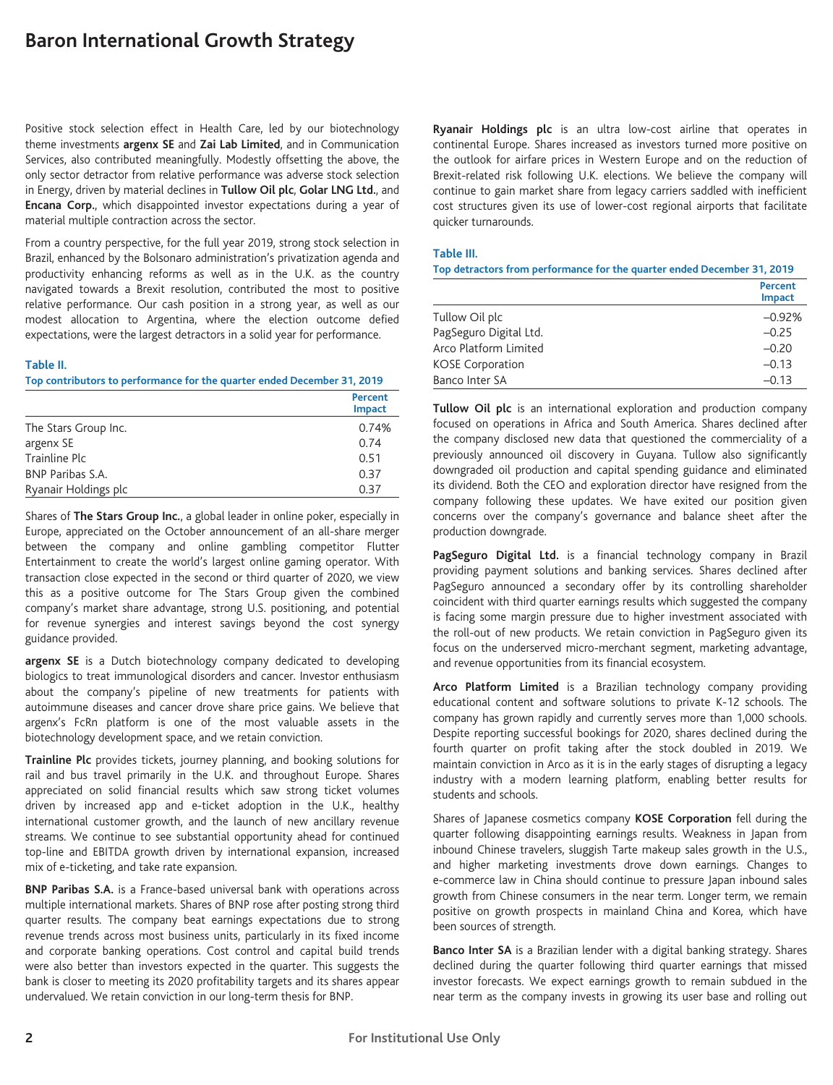# **Baron International Growth Strategy**

Positive stock selection effect in Health Care, led by our biotechnology theme investments **argenx SE** and **Zai Lab Limited**, and in Communication Services, also contributed meaningfully. Modestly offsetting the above, the only sector detractor from relative performance was adverse stock selection in Energy, driven by material declines in **Tullow Oil plc**, **Golar LNG Ltd.**, and **Encana Corp.**, which disappointed investor expectations during a year of material multiple contraction across the sector.

From a country perspective, for the full year 2019, strong stock selection in Brazil, enhanced by the Bolsonaro administration's privatization agenda and productivity enhancing reforms as well as in the U.K. as the country navigated towards a Brexit resolution, contributed the most to positive relative performance. Our cash position in a strong year, as well as our modest allocation to Argentina, where the election outcome defied expectations, were the largest detractors in a solid year for performance.

#### **Table II.**

**Top contributors to performance for the quarter ended December 31, 2019**

|                      | Percent<br><b>Impact</b> |
|----------------------|--------------------------|
| The Stars Group Inc. | 0.74%                    |
| argenx SE            | 0.74                     |
| Trainline Plc        | 0.51                     |
| BNP Paribas S.A.     | 0.37                     |
| Ryanair Holdings plc | 0.37                     |

Shares of **The Stars Group Inc.**, a global leader in online poker, especially in Europe, appreciated on the October announcement of an all-share merger between the company and online gambling competitor Flutter Entertainment to create the world's largest online gaming operator. With transaction close expected in the second or third quarter of 2020, we view this as a positive outcome for The Stars Group given the combined company's market share advantage, strong U.S. positioning, and potential for revenue synergies and interest savings beyond the cost synergy guidance provided.

**argenx SE** is a Dutch biotechnology company dedicated to developing biologics to treat immunological disorders and cancer. Investor enthusiasm about the company's pipeline of new treatments for patients with autoimmune diseases and cancer drove share price gains. We believe that argenx's FcRn platform is one of the most valuable assets in the biotechnology development space, and we retain conviction.

**Trainline Plc** provides tickets, journey planning, and booking solutions for rail and bus travel primarily in the U.K. and throughout Europe. Shares appreciated on solid financial results which saw strong ticket volumes driven by increased app and e-ticket adoption in the U.K., healthy international customer growth, and the launch of new ancillary revenue streams. We continue to see substantial opportunity ahead for continued top-line and EBITDA growth driven by international expansion, increased mix of e-ticketing, and take rate expansion.

**BNP Paribas S.A.** is a France-based universal bank with operations across multiple international markets. Shares of BNP rose after posting strong third quarter results. The company beat earnings expectations due to strong revenue trends across most business units, particularly in its fixed income and corporate banking operations. Cost control and capital build trends were also better than investors expected in the quarter. This suggests the bank is closer to meeting its 2020 profitability targets and its shares appear undervalued. We retain conviction in our long-term thesis for BNP.

**Ryanair Holdings plc** is an ultra low-cost airline that operates in continental Europe. Shares increased as investors turned more positive on the outlook for airfare prices in Western Europe and on the reduction of Brexit-related risk following U.K. elections. We believe the company will continue to gain market share from legacy carriers saddled with inefficient cost structures given its use of lower-cost regional airports that facilitate quicker turnarounds.

#### **Table III.**

**Top detractors from performance for the quarter ended December 31, 2019**

|                         | Percent<br><b>Impact</b> |
|-------------------------|--------------------------|
| Tullow Oil plc          | $-0.92%$                 |
| PagSeguro Digital Ltd.  | $-0.25$                  |
| Arco Platform Limited   | $-0.20$                  |
| <b>KOSE Corporation</b> | $-0.13$                  |
| Banco Inter SA          | $-0.13$                  |

**Tullow Oil plc** is an international exploration and production company focused on operations in Africa and South America. Shares declined after the company disclosed new data that questioned the commerciality of a previously announced oil discovery in Guyana. Tullow also significantly downgraded oil production and capital spending guidance and eliminated its dividend. Both the CEO and exploration director have resigned from the company following these updates. We have exited our position given concerns over the company's governance and balance sheet after the production downgrade.

PagSeguro Digital Ltd. is a financial technology company in Brazil providing payment solutions and banking services. Shares declined after PagSeguro announced a secondary offer by its controlling shareholder coincident with third quarter earnings results which suggested the company is facing some margin pressure due to higher investment associated with the roll-out of new products. We retain conviction in PagSeguro given its focus on the underserved micro-merchant segment, marketing advantage, and revenue opportunities from its financial ecosystem.

**Arco Platform Limited** is a Brazilian technology company providing educational content and software solutions to private K-12 schools. The company has grown rapidly and currently serves more than 1,000 schools. Despite reporting successful bookings for 2020, shares declined during the fourth quarter on profit taking after the stock doubled in 2019. We maintain conviction in Arco as it is in the early stages of disrupting a legacy industry with a modern learning platform, enabling better results for students and schools.

Shares of Japanese cosmetics company **KOSE Corporation** fell during the quarter following disappointing earnings results. Weakness in Japan from inbound Chinese travelers, sluggish Tarte makeup sales growth in the U.S., and higher marketing investments drove down earnings. Changes to e-commerce law in China should continue to pressure Japan inbound sales growth from Chinese consumers in the near term. Longer term, we remain positive on growth prospects in mainland China and Korea, which have been sources of strength.

**Banco Inter SA** is a Brazilian lender with a digital banking strategy. Shares declined during the quarter following third quarter earnings that missed investor forecasts. We expect earnings growth to remain subdued in the near term as the company invests in growing its user base and rolling out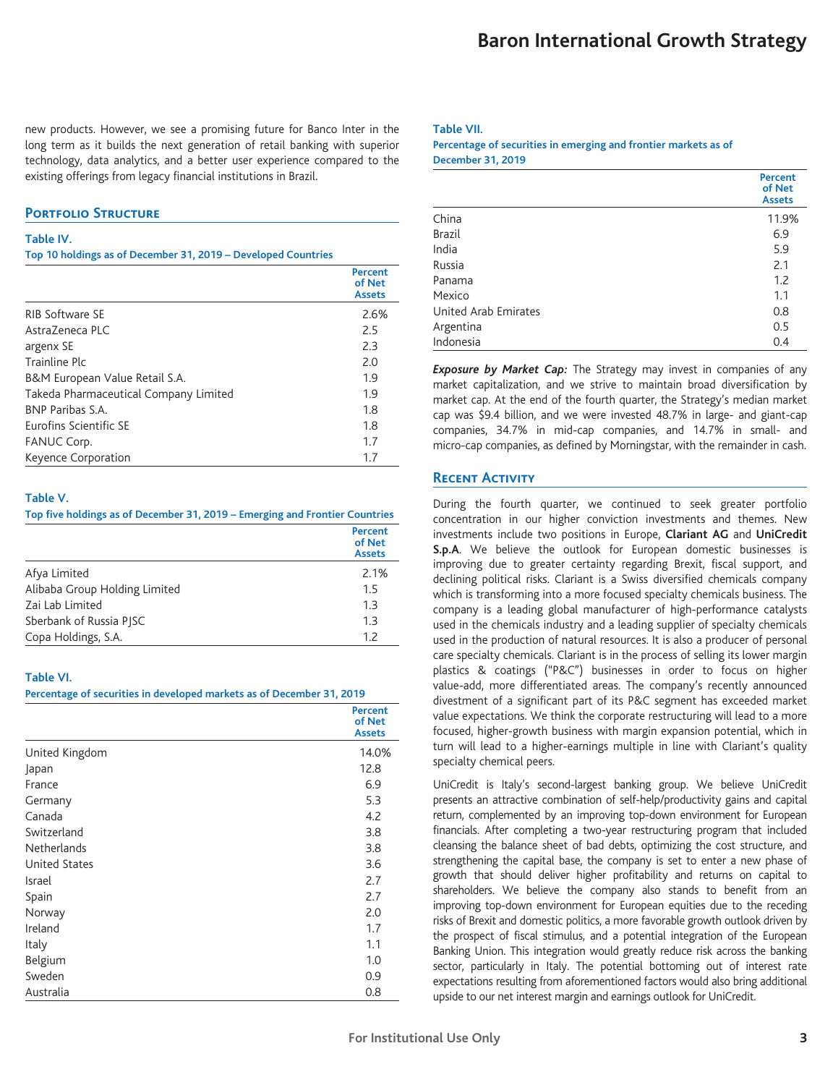new products. However, we see a promising future for Banco Inter in the long term as it builds the next generation of retail banking with superior technology, data analytics, and a better user experience compared to the existing offerings from legacy financial institutions in Brazil.

## **Portfolio Structure**

#### **Table IV.**

**Top 10 holdings as of December 31, 2019 – Developed Countries**

|                                       | <b>Percent</b><br>of Net<br><b>Assets</b> |
|---------------------------------------|-------------------------------------------|
| <b>RIB Software SE</b>                | 2.6%                                      |
| AstraZeneca PLC                       | 2.5                                       |
| argenx SE                             | 2.3                                       |
| Trainline Plc                         | 2.0                                       |
| B&M European Value Retail S.A.        | 1.9                                       |
| Takeda Pharmaceutical Company Limited | 1.9                                       |
| <b>BNP Paribas S.A.</b>               | 1.8                                       |
| Eurofins Scientific SE                | 1.8                                       |
| FANUC Corp.                           | 1.7                                       |
| Keyence Corporation                   | 1.7                                       |

#### **Table V.**

#### **Top five holdings as of December 31, 2019 – Emerging and Frontier Countries**

|                               | Percent<br>of Net<br><b>Assets</b> |
|-------------------------------|------------------------------------|
| Afya Limited                  | 2.1%                               |
| Alibaba Group Holding Limited | 1.5                                |
| Zai Lab Limited               | 1.3                                |
| Sberbank of Russia PISC       | 1.3                                |
| Copa Holdings, S.A.           | 1.7                                |

#### **Table VI.**

#### **Percentage of securities in developed markets as of December 31, 2019**

|                      | <b>Percent</b><br>of Net<br><b>Assets</b> |
|----------------------|-------------------------------------------|
| United Kingdom       | 14.0%                                     |
| Japan                | 12.8                                      |
| France               | 6.9                                       |
| Germany              | 5.3                                       |
| Canada               | 4.2                                       |
| Switzerland          | 3.8                                       |
| <b>Netherlands</b>   | 3.8                                       |
| <b>United States</b> | 3.6                                       |
| Israel               | 2.7                                       |
| Spain                | 2.7                                       |
| Norway               | 2.0                                       |
| Ireland              | 1.7                                       |
| Italy                | 1.1                                       |
| Belgium              | 1.0                                       |
| Sweden               | 0.9                                       |
| Australia            | 0.8                                       |

#### **Table VII.**

#### **Percentage of securities in emerging and frontier markets as of December 31, 2019**

|                             | <b>Percent</b><br>of Net<br><b>Assets</b> |
|-----------------------------|-------------------------------------------|
| China                       | 11.9%                                     |
| <b>Brazil</b>               | 6.9                                       |
| India                       | 5.9                                       |
| Russia                      | 2.1                                       |
| Panama                      | 1.2                                       |
| Mexico                      | 1.1                                       |
| <b>United Arab Emirates</b> | 0.8                                       |
| Argentina                   | 0.5                                       |
| Indonesia                   | 0.4                                       |

*Exposure by Market Cap:* The Strategy may invest in companies of any market capitalization, and we strive to maintain broad diversification by market cap. At the end of the fourth quarter, the Strategy's median market cap was \$9.4 billion, and we were invested 48.7% in large- and giant-cap companies, 34.7% in mid-cap companies, and 14.7% in small- and micro-cap companies, as defined by Morningstar, with the remainder in cash.

## **Recent Activity**

During the fourth quarter, we continued to seek greater portfolio concentration in our higher conviction investments and themes. New investments include two positions in Europe, **Clariant AG** and **UniCredit S.p.A**. We believe the outlook for European domestic businesses is improving due to greater certainty regarding Brexit, fiscal support, and declining political risks. Clariant is a Swiss diversified chemicals company which is transforming into a more focused specialty chemicals business. The company is a leading global manufacturer of high-performance catalysts used in the chemicals industry and a leading supplier of specialty chemicals used in the production of natural resources. It is also a producer of personal care specialty chemicals. Clariant is in the process of selling its lower margin plastics & coatings ("P&C") businesses in order to focus on higher value-add, more differentiated areas. The company's recently announced divestment of a significant part of its P&C segment has exceeded market value expectations. We think the corporate restructuring will lead to a more focused, higher-growth business with margin expansion potential, which in turn will lead to a higher-earnings multiple in line with Clariant's quality specialty chemical peers.

UniCredit is Italy's second-largest banking group. We believe UniCredit presents an attractive combination of self-help/productivity gains and capital return, complemented by an improving top-down environment for European financials. After completing a two-year restructuring program that included cleansing the balance sheet of bad debts, optimizing the cost structure, and strengthening the capital base, the company is set to enter a new phase of growth that should deliver higher profitability and returns on capital to shareholders. We believe the company also stands to benefit from an improving top-down environment for European equities due to the receding risks of Brexit and domestic politics, a more favorable growth outlook driven by the prospect of fiscal stimulus, and a potential integration of the European Banking Union. This integration would greatly reduce risk across the banking sector, particularly in Italy. The potential bottoming out of interest rate expectations resulting from aforementioned factors would also bring additional upside to our net interest margin and earnings outlook for UniCredit.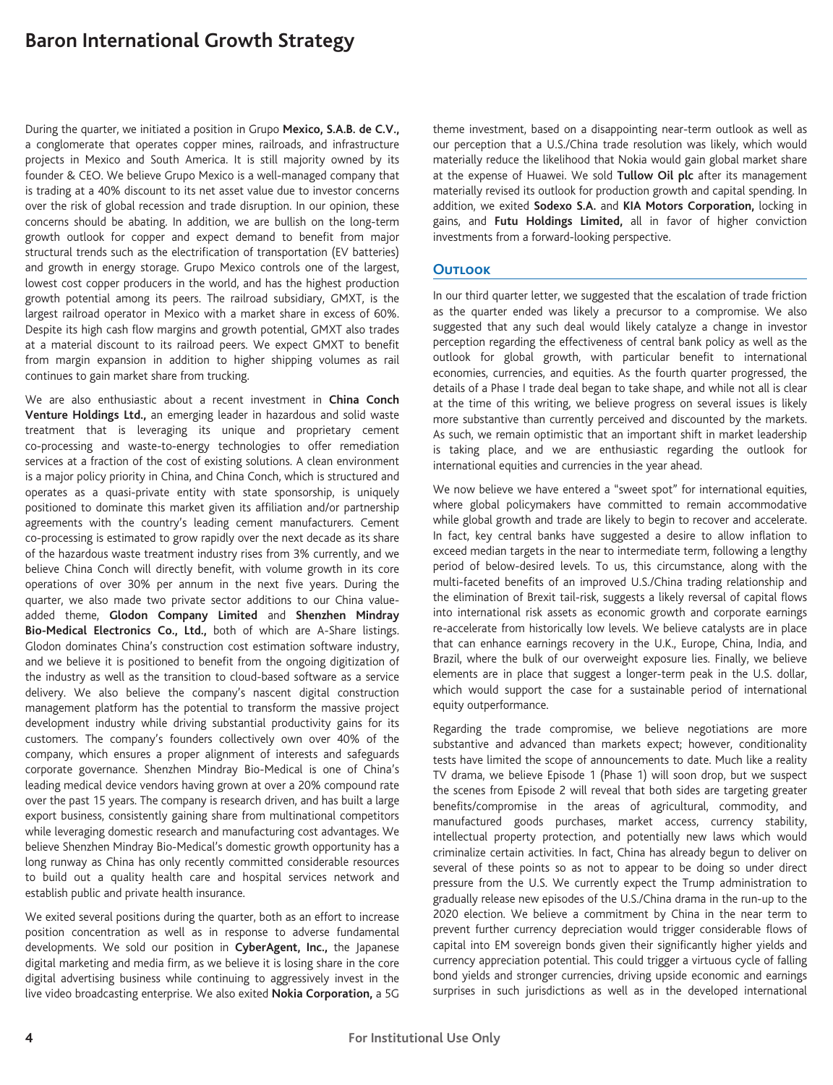# **Baron International Growth Strategy**

During the quarter, we initiated a position in Grupo **Mexico, S.A.B. de C.V.,** a conglomerate that operates copper mines, railroads, and infrastructure projects in Mexico and South America. It is still majority owned by its founder & CEO. We believe Grupo Mexico is a well-managed company that is trading at a 40% discount to its net asset value due to investor concerns over the risk of global recession and trade disruption. In our opinion, these concerns should be abating. In addition, we are bullish on the long-term growth outlook for copper and expect demand to benefit from major structural trends such as the electrification of transportation (EV batteries) and growth in energy storage. Grupo Mexico controls one of the largest, lowest cost copper producers in the world, and has the highest production growth potential among its peers. The railroad subsidiary, GMXT, is the largest railroad operator in Mexico with a market share in excess of 60%. Despite its high cash flow margins and growth potential, GMXT also trades at a material discount to its railroad peers. We expect GMXT to benefit from margin expansion in addition to higher shipping volumes as rail continues to gain market share from trucking.

We are also enthusiastic about a recent investment in **China Conch Venture Holdings Ltd.,** an emerging leader in hazardous and solid waste treatment that is leveraging its unique and proprietary cement co-processing and waste-to-energy technologies to offer remediation services at a fraction of the cost of existing solutions. A clean environment is a major policy priority in China, and China Conch, which is structured and operates as a quasi-private entity with state sponsorship, is uniquely positioned to dominate this market given its affiliation and/or partnership agreements with the country's leading cement manufacturers. Cement co-processing is estimated to grow rapidly over the next decade as its share of the hazardous waste treatment industry rises from 3% currently, and we believe China Conch will directly benefit, with volume growth in its core operations of over 30% per annum in the next five years. During the quarter, we also made two private sector additions to our China valueadded theme, **Glodon Company Limited** and **Shenzhen Mindray Bio-Medical Electronics Co., Ltd.,** both of which are A-Share listings. Glodon dominates China's construction cost estimation software industry, and we believe it is positioned to benefit from the ongoing digitization of the industry as well as the transition to cloud-based software as a service delivery. We also believe the company's nascent digital construction management platform has the potential to transform the massive project development industry while driving substantial productivity gains for its customers. The company's founders collectively own over 40% of the company, which ensures a proper alignment of interests and safeguards corporate governance. Shenzhen Mindray Bio-Medical is one of China's leading medical device vendors having grown at over a 20% compound rate over the past 15 years. The company is research driven, and has built a large export business, consistently gaining share from multinational competitors while leveraging domestic research and manufacturing cost advantages. We believe Shenzhen Mindray Bio-Medical's domestic growth opportunity has a long runway as China has only recently committed considerable resources to build out a quality health care and hospital services network and establish public and private health insurance.

We exited several positions during the quarter, both as an effort to increase position concentration as well as in response to adverse fundamental developments. We sold our position in **CyberAgent, Inc.,** the Japanese digital marketing and media firm, as we believe it is losing share in the core digital advertising business while continuing to aggressively invest in the live video broadcasting enterprise. We also exited **Nokia Corporation,** a 5G theme investment, based on a disappointing near-term outlook as well as our perception that a U.S./China trade resolution was likely, which would materially reduce the likelihood that Nokia would gain global market share at the expense of Huawei. We sold **Tullow Oil plc** after its management materially revised its outlook for production growth and capital spending. In addition, we exited **Sodexo S.A.** and **KIA Motors Corporation,** locking in gains, and **Futu Holdings Limited,** all in favor of higher conviction investments from a forward-looking perspective.

### **Outlook**

In our third quarter letter, we suggested that the escalation of trade friction as the quarter ended was likely a precursor to a compromise. We also suggested that any such deal would likely catalyze a change in investor perception regarding the effectiveness of central bank policy as well as the outlook for global growth, with particular benefit to international economies, currencies, and equities. As the fourth quarter progressed, the details of a Phase I trade deal began to take shape, and while not all is clear at the time of this writing, we believe progress on several issues is likely more substantive than currently perceived and discounted by the markets. As such, we remain optimistic that an important shift in market leadership is taking place, and we are enthusiastic regarding the outlook for international equities and currencies in the year ahead.

We now believe we have entered a "sweet spot" for international equities, where global policymakers have committed to remain accommodative while global growth and trade are likely to begin to recover and accelerate. In fact, key central banks have suggested a desire to allow inflation to exceed median targets in the near to intermediate term, following a lengthy period of below-desired levels. To us, this circumstance, along with the multi-faceted benefits of an improved U.S./China trading relationship and the elimination of Brexit tail-risk, suggests a likely reversal of capital flows into international risk assets as economic growth and corporate earnings re-accelerate from historically low levels. We believe catalysts are in place that can enhance earnings recovery in the U.K., Europe, China, India, and Brazil, where the bulk of our overweight exposure lies. Finally, we believe elements are in place that suggest a longer-term peak in the U.S. dollar, which would support the case for a sustainable period of international equity outperformance.

Regarding the trade compromise, we believe negotiations are more substantive and advanced than markets expect; however, conditionality tests have limited the scope of announcements to date. Much like a reality TV drama, we believe Episode 1 (Phase 1) will soon drop, but we suspect the scenes from Episode 2 will reveal that both sides are targeting greater benefits/compromise in the areas of agricultural, commodity, and manufactured goods purchases, market access, currency stability, intellectual property protection, and potentially new laws which would criminalize certain activities. In fact, China has already begun to deliver on several of these points so as not to appear to be doing so under direct pressure from the U.S. We currently expect the Trump administration to gradually release new episodes of the U.S./China drama in the run-up to the 2020 election. We believe a commitment by China in the near term to prevent further currency depreciation would trigger considerable flows of capital into EM sovereign bonds given their significantly higher yields and currency appreciation potential. This could trigger a virtuous cycle of falling bond yields and stronger currencies, driving upside economic and earnings surprises in such jurisdictions as well as in the developed international